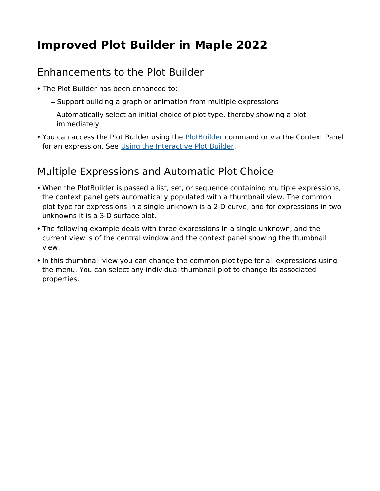## **Improved Plot Builder in Maple 2022**

## Enhancements to the Plot Builder

- The Plot Builder has been enhanced to:
	- Support building a graph or animation from multiple expressions
	- Automatically select an initial choice of plot type, thereby showing a plot immediately
- You can access the Plot Builder using the PlotBuilder command or via the Context Panel for an expression. See Using the Interactive Plot Builder.

## Multiple Expressions and Automatic Plot Choice

- When the PlotBuilder is passed a list, set, or sequence containing multiple expressions, the context panel gets automatically populated with a thumbnail view. The common plot type for expressions in a single unknown is a 2-D curve, and for expressions in two unknowns it is a 3-D surface plot.
- The following example deals with three expressions in a single unknown, and the current view is of the central window and the context panel showing the thumbnail view.
- In this thumbnail view you can change the common plot type for all expressions using the menu. You can select any individual thumbnail plot to change its associated properties.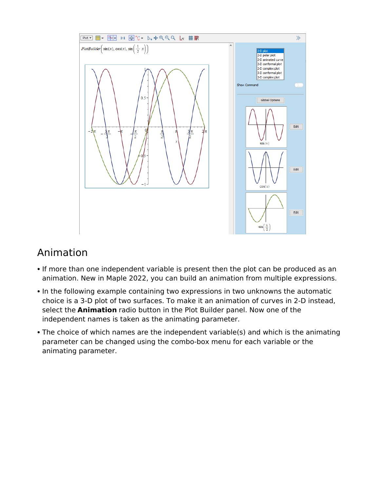

## Animation

- If more than one independent variable is present then the plot can be produced as an animation. New in Maple 2022, you can build an animation from multiple expressions.
- In the following example containing two expressions in two unknowns the automatic choice is a 3-D plot of two surfaces. To make it an animation of curves in 2-D instead, select the **Animation** radio button in the Plot Builder panel. Now one of the independent names is taken as the animating parameter.
- The choice of which names are the independent variable(s) and which is the animating parameter can be changed using the combo-box menu for each variable or the animating parameter.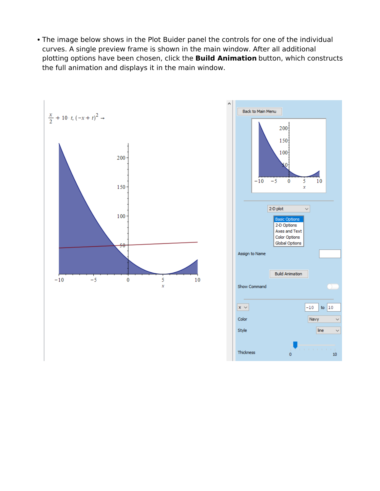The image below shows in the Plot Buider panel the controls for one of the individual curves. A single preview frame is shown in the main window. After all additional plotting options have been chosen, click the **Build Animation** button, which constructs the full animation and displays it in the main window.